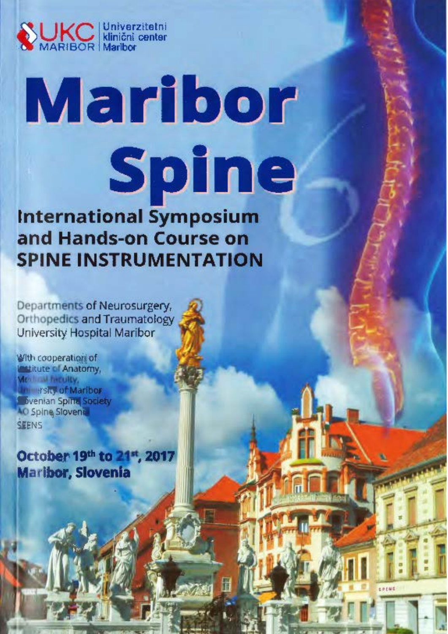

# Maribor Spine **International Symposium**

and Hands-on Course on **SPINE INSTRUMENTATION** 

Departments of Neurosurgery, **Orthopedics and Traumatology** University Hospital Maribor

With cooperation of **Lestitute of Anatomy,** Me first hiredity, **Intersity of Maribor** bvenian Spina Society **AO Spine Slovenia** SEENS

October 19th to 21st, 2017 **Maribor, Slovenia**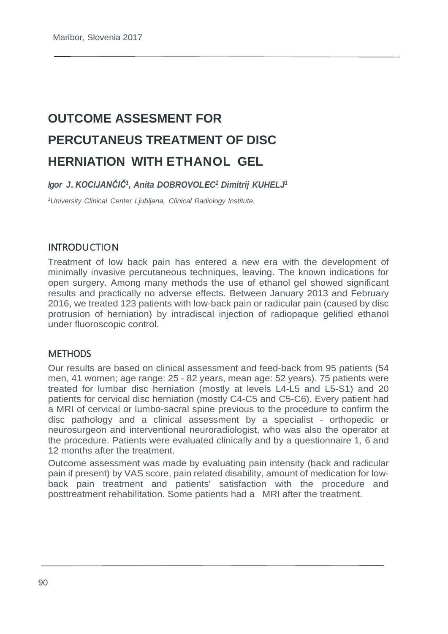## **OUTCOME ASSESMENT FOR PERCUTANEUS TREATMENT OF DISC HERNIATION WITH ETHANOL GEL**

*Igor J. KOCIJANČIČ1, Anita DOBROVOLEC1 , Dimitrij KUHELJ1*

*1 University Clinical Center Ljubljana, Clinical Radiology lnstitute.*

#### INTRODUCTION

Treatment of low back pain has entered a new era with the development of minimally invasive percutaneous techniques, leaving. The known indications for open surgery. Among many methods the use of ethanol gel showed significant results and practically no adverse effects. Between January 2013 and February 2016, we treated 123 patients with low-back pain or radicular pain (caused by disc protrusion of herniation) by intradiscal injection of radiopaque gelified ethanol under fluoroscopic control.

#### **METHODS**

Our results are based on clinical assessment and feed-back from 95 patients (54 men, 41 women; age range: 25 - 82 years, mean age: 52 years). 75 patients were treated for lumbar disc herniation (mostly at levels L4-L5 and L5-S1) and 20 patients for cervical disc herniation (mostly C4-C5 and C5-C6). Every patient had a MRI of cervical or lumbo-sacral spine previous to the procedure to confirm the disc pathology and a clinical assessment by a specialist - orthopedic or neurosurgeon and interventional neuroradiologist, who was also the operator at the procedure. Patients were evaluated clinically and by a questionnaire 1, 6 and 12 months after the treatment.

Outcome assessment was made by evaluating pain intensity (back and radicular pain if present) by VAS score, pain related disability, amount of medication for lowback pain treatment and patients' satisfaction with the procedure and posttreatment rehabilitation. Some patients had a MRI after the treatment.